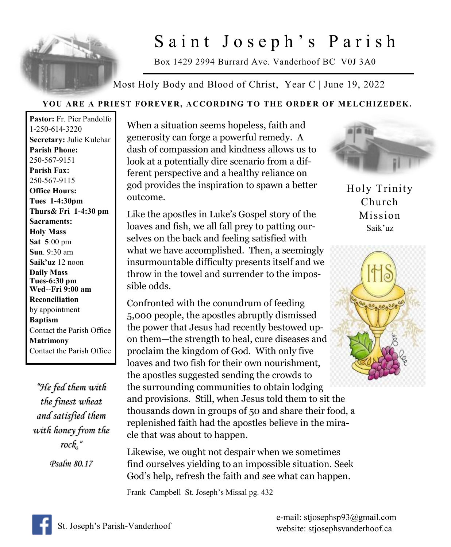

# Saint Joseph's Parish

Box 1429 2994 Burrard Ave. Vanderhoof BC V0J 3A0

Most Holy Body and Blood of Christ, Year C | June 19, 2022

## **YOU ARE A PRIEST FOREVER, ACCORDING TO THE ORDER OF MELCHIZEDEK.**

**Pastor:** Fr. Pier Pandolfo 1-250-614-3220 **Secretary:** Julie Kulchar **Parish Phone:** 250-567-9151 **Parish Fax:** 250-567-9115 **Office Hours: Tues 1-4:30pm Thurs& Fri 1-4:30 pm Sacraments: Holy Mass Sat 5**:00 pm **Sun**. 9:30 am **Saik'uz** 12 noon **Daily Mass Tues-6:30 pm Wed--Fri 9:00 am Reconciliation** by appointment **Baptism** Contact the Parish Office **Matrimony** Contact the Parish Office

*"He fed them with the finest wheat and satisfied them with honey from the rock." Psalm 80.17* 

When a situation seems hopeless, faith and generosity can forge a powerful remedy. A dash of compassion and kindness allows us to look at a potentially dire scenario from a different perspective and a healthy reliance on god provides the inspiration to spawn a better outcome.

Like the apostles in Luke's Gospel story of the loaves and fish, we all fall prey to patting ourselves on the back and feeling satisfied with what we have accomplished. Then, a seemingly insurmountable difficulty presents itself and we throw in the towel and surrender to the impossible odds.

Confronted with the conundrum of feeding 5,000 people, the apostles abruptly dismissed the power that Jesus had recently bestowed upon them—the strength to heal, cure diseases and proclaim the kingdom of God. With only five loaves and two fish for their own nourishment, the apostles suggested sending the crowds to the surrounding communities to obtain lodging and provisions. Still, when Jesus told them to sit the thousands down in groups of 50 and share their food, a replenished faith had the apostles believe in the miracle that was about to happen.

Likewise, we ought not despair when we sometimes find ourselves yielding to an impossible situation. Seek God's help, refresh the faith and see what can happen.

Frank Campbell St. Joseph's Missal pg. 432



Holy Trinity Church Mission Saik'uz



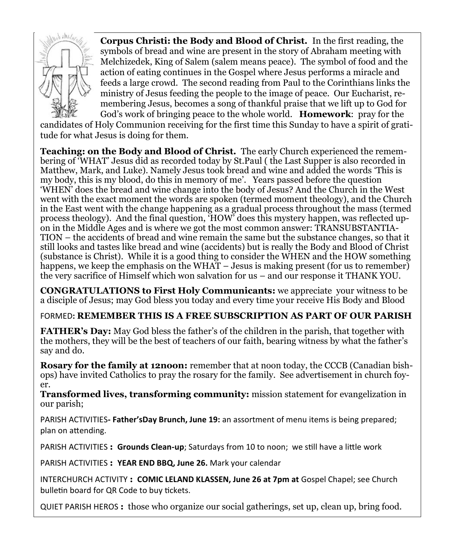

**Corpus Christi: the Body and Blood of Christ.** In the first reading, the symbols of bread and wine are present in the story of Abraham meeting with Melchizedek, King of Salem (salem means peace). The symbol of food and the action of eating continues in the Gospel where Jesus performs a miracle and feeds a large crowd. The second reading from Paul to the Corinthians links the ministry of Jesus feeding the people to the image of peace. Our Eucharist, remembering Jesus, becomes a song of thankful praise that we lift up to God for God's work of bringing peace to the whole world. **Homework**: pray for the

candidates of Holy Communion receiving for the first time this Sunday to have a spirit of gratitude for what Jesus is doing for them.

**Teaching: on the Body and Blood of Christ.** The early Church experienced the remembering of 'WHAT' Jesus did as recorded today by St.Paul ( the Last Supper is also recorded in Matthew, Mark, and Luke). Namely Jesus took bread and wine and added the words 'This is my body, this is my blood, do this in memory of me'. Years passed before the question 'WHEN' does the bread and wine change into the body of Jesus? And the Church in the West went with the exact moment the words are spoken (termed moment theology), and the Church in the East went with the change happening as a gradual process throughout the mass (termed process theology). And the final question, 'HOW' does this mystery happen, was reflected upon in the Middle Ages and is where we got the most common answer: TRANSUBSTANTIA-TION – the accidents of bread and wine remain the same but the substance changes, so that it still looks and tastes like bread and wine (accidents) but is really the Body and Blood of Christ (substance is Christ). While it is a good thing to consider the WHEN and the HOW something happens, we keep the emphasis on the WHAT – Jesus is making present (for us to remember) the very sacrifice of Himself which won salvation for us – and our response it THANK YOU.

**CONGRATULATIONS to First Holy Communicants:** we appreciate your witness to be a disciple of Jesus; may God bless you today and every time your receive His Body and Blood

FORMED**: REMEMBER THIS IS A FREE SUBSCRIPTION AS PART OF OUR PARISH**

**FATHER's Day:** May God bless the father's of the children in the parish, that together with the mothers, they will be the best of teachers of our faith, bearing witness by what the father's say and do.

**Rosary for the family at 12noon:** remember that at noon today, the CCCB (Canadian bishops) have invited Catholics to pray the rosary for the family. See advertisement in church foyer.

**Transformed lives, transforming community:** mission statement for evangelization in our parish;

PARISH ACTIVITIES**- Father'sDay Brunch, June 19:** an assortment of menu items is being prepared; plan on attending.

PARISH ACTIVITIES **: Grounds Clean-up**; Saturdays from 10 to noon; we still have a little work

PARISH ACTIVITIES **: YEAR END BBQ, June 26.** Mark your calendar

INTERCHURCH ACTIVITY **: COMIC LELAND KLASSEN, June 26 at 7pm at** Gospel Chapel; see Church bulletin board for QR Code to buy tickets.

QUIET PARISH HEROS **:** those who organize our social gatherings, set up, clean up, bring food.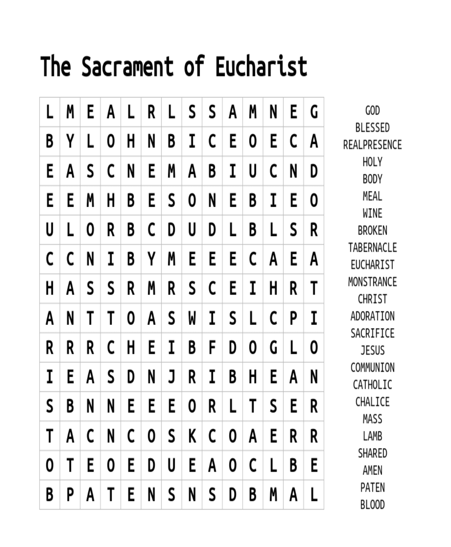# The Sacrament of Eucharist

| L | M | E | A | L | R | L | S | S | A | M | N | E | G |
|---|---|---|---|---|---|---|---|---|---|---|---|---|---|
| B | Y | L | 0 | H | N | В | I | C | E | 0 | E | C | A |
| E | A | S | C | N | E | M | A | В | I | U | C | N | D |
| E | E | M | H | В | E | S | 0 | N | E | В | I | E | 0 |
| U | L | 0 | R | В | C | D | U | D | L | В | L | S | R |
| C | C | N | I | В | Y | M | E | E | E | C | A | E | A |
| H | A | S | S | R | M | R | S | C | E | I | H | R | T |
| A | N | T | T | 0 | A | S | W | I | S | L | С | P | I |
| R | R | R | C | H | E | I | В | F | D | 0 | G | L | 0 |
| I | E | A | S | D | N | J | R | I | В | H | E | A | N |
| S | B | N | N | E | E | E | 0 | R | L | T | S | E | R |
| T | A | C | N | C | 0 | S | K | C | 0 | A | E | R | R |
| 0 | T | E | 0 | E | D | U | E | A | 0 | C | L | В | E |
| B | P | A | T | E | N | S | N | S | D | В | M | A | L |

GOD **BLESSED** REALPRESENCE **HOLY BODY** MEAL WINE **BROKEN** TABERNACLE **EUCHARIST** MONSTRANCE **CHRIST** ADORATION SACRIFICE **JESUS** COMMUNION CATHOLIC CHALICE MASS LAMB SHARED AMEN PATEN BLOOD